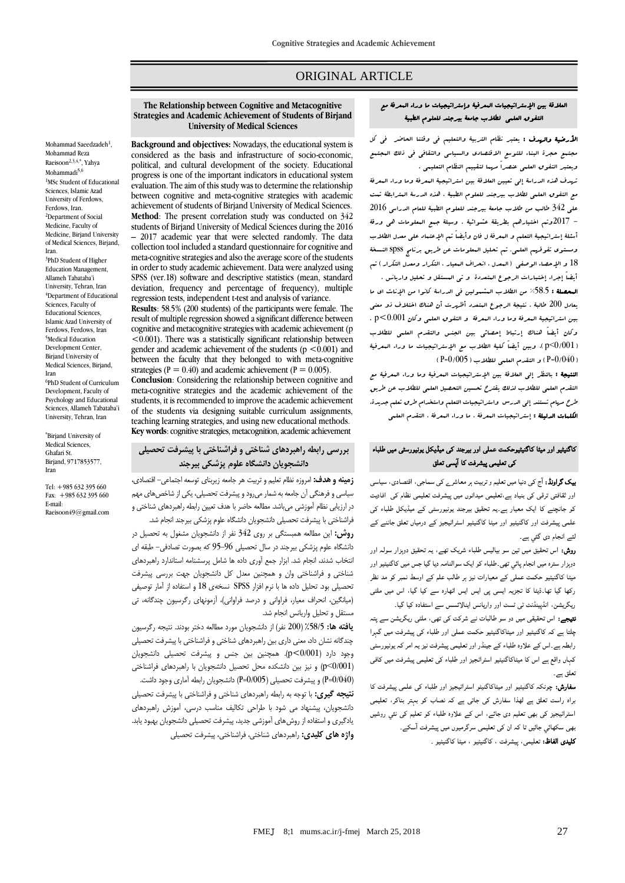# ORIGINAL ARTICLE

#### العالقة بين اإلستراتيجيات المعرفية وإستراتيجيات ما وراء المعرفة مع التفوق العلمي لطالب جامعة بيرجند للعلوم الطبية

ا**لأرضية والهدف :** يعتبر نظام التربية والتعليم في وقتنا الحاضر في كل مجتمع حجرة البناء للتوسع االقتصادي والسياسي والثقافي في ذلك المجتمع ويعتبر التفوق العلمي عنصراً مهما لتقييم النظام التعليمي .

تهدف هذه الدراسة إلى تعيين العالقة بين استراتيجية المعرفة وما وراء المعرفة مع التفوق العلمي لطالب بيرجند للعلوم الطبية . هذه الدرسة المترابطة تمت على 342 طالب من طالب جامعة بيرجند للعلوم الطبية للعام الدراسي 2016 - 2017وتم اختيارهم بطريقة عشوائية . وسيلة جمع المعلومات هي ورقة أسئلة إستراتيجية التعلم و المعرفة ل فان وأيضاً تم اإلعتماد على معدل الطالب ومستوى تفوقهم العلمي. تم تحليل المعلومات عن طريق برنامج spss النسخة 18 و الإحصاء الوصف<sub>ى</sub> (البعدل ، انحراف البعيار ، التكرار ومعدل التكرار ) ت<sub>م</sub> أيضاً إجراء إختبارات الرجوع المتعددة و تى المستقل و تحليل واريانس .

المحصلة : %58.5 من الطالب المشمولين في الدراسة كانوا من اإلناث اي ما يعادل 200 طالبة . نتيجة الرجوع المتعدد أظهرت أن هناك اختالف ذو معنى بين استراتيجية المعرفة وما وراء المعرفة و التفوق العلمي وكان 0.001>p . وكان أيضاً هناك إرتباط إحصائي بين الجنس والتقدم العلمي للطالب )0/001<p)، وبين أيضاً كلية الطالب مع اإلستراتيجيات ما وراء المعرفية  $($  P=0 $/005$ ) و التقدم العلمي للطلاب ( 005 $($ P=0 $\pm$ 

النتيجة : بالنظر إلى العالقة بين اإلستراتيجيات المعرفية وما وراء المعرفية مع التقدم العلمي للطالب لذلك يقترح تحسين التحصيل العلمي للطالب عن طريق طرح مهام تستند إلى الدرس واستراتيجيات التعلم واستخدام طرق تعلم جديدة. الكلمات الدليلة : إستراتيجيات المعرفة ، ما وراء المعرفة ، التقدم العلمي

## کاگنیٹیو اور میٹا کاگنیٹیوحکمت عملی اور بیرجند کی میڈیکل یونیورسٹی میں طلباء کی تعلیمی پیشرفت کا ا پسی تعلق

**بیک گراونڈ:** آج کی دنیا میں تعلیم و تربیت ہر معاشر<sub>ے</sub> کی سماجی، اقتصادی، سیاسی اور ثقافتی ترقی کی بنیاد ہے،تعلیمی میدانوں میں پیشرفت تعلیمی نظام کی افادیت کو جانچنے کا ایک معیار ہے۔یہ تحقیق بیرجند یونیورسٹی کے میڈیکل طلباء کی علمی پیشرفت اور کاگنیٹیو اور میٹا کاگنیٹیو اسٹراٹیجیز کے درمیاں تعلق جاننے کے لئے انجام دی گئي ہے۔

روش: اس تحقیق میں تین سو بیالیس طلباء شریک تھے، یہ تحقیق دوہزار سولہ اور دوہزار سترہ میں انجام پائي تھی۔طلباء کو ایک سوالنامہ دیا گيا جس میں کاگنیٹیو اور میٹا کاگنیٹیو حکمت عملی کے معیارات نیز ہر طالب علم کے اوسط نمبر کو مد نظر رکھا گيا تھا۔ڈیٹا کا تجزیہ ایسی پی ایس ایس اٹھارہ سے کیا گيا، اس میں ملٹی ریگریشن، انڈپینڈنٹ ٹی ٹسٹ اور واریانس اینالائسس سے استفادہ کیا گیا۔

نتیجے: اس تحقیقی میں دو سو طالبات نے شرکت کی تھی، ملٹی ریگریشن سے پتہ چلتا ہے کہ کاگنیٹیو اور میٹاکاگنیٹیو حکمت عملی اور طلباء کی پیشرفت میں گہرا رابطہ ہے۔اس کے علاوہ طلباء کے جینڈر اور تعلیمی پیشرفت نیز یہ امر کہ یونیورسٹی کہاں واقع ہے اس کا میٹاکاگنیٹیو اسٹراٹجيز اور طلباء کی تعلیمی پیشرفت میں کافی تعلق ہے۔

سفارش: چونکہ کاگنیٹیو اور میٹاکاگنیٹو اسٹراٹیجیز اور طلباء کی علمی پیشرفت کا براہ راست تعلق ہے لھذا سفارش کی جاتی ہے کہ نصاب کو بہتر بناکر، تعلیمی اسٹراٹیجیز کی بھی تعلیم دی جائے، اس کے علاوہ طلباء کو تعلیم کی نئي روشیں بھی سکھائي جائيں تا کہ ان کی تعلیمی سرگرمیوں میں پیشرفت ا سکے۔

کلیدی الفاظ: تعلیمی، پیشرفت ، کاگنیٹیو ، میٹا کاگنیٹیو ۔

#### **The Relationship between Cognitive and Metacognitive Strategies and Academic Achievement of Students of Birjand University of Medical Sciences**

**Background and objectives:** Nowadays, the educational system is considered as the basis and infrastructure of socio-economic, political, and cultural development of the society. Educational progress is one of the important indicators in educational system evaluation. The aim of this study was to determine the relationship between cognitive and meta-cognitive strategies with academic achievement of students of Birjand University of Medical Sciences. **Method**: The present correlation study was conducted on 342 students of Birjand University of Medical Sciences during the 2016 – 2017 academic year that were selected randomly. The data collection tool included a standard questionnaire for cognitive and meta-cognitive strategies and also the average score of the students in order to study academic achievement. Data were analyzed using SPSS (ver.18) software and descriptive statistics (mean, standard deviation, frequency and percentage of frequency), multiple regression tests, independent t-test and analysis of variance.

**Results**: 58.5% (200 students) of the participants were female. The result of multiple regression showed a significant difference between cognitive and metacognitive strategies with academic achievement (p <0.001). There was a statistically significant relationship between gender and academic achievement of the students ( $p \le 0.001$ ) and between the faculty that they belonged to with meta-cognitive strategies ( $P = 0.40$ ) and academic achievement ( $P = 0.005$ ).

**Conclusion**: Considering the relationship between cognitive and meta-cognitive strategies and the academic achievement of the students, it is recommended to improve the academic achievement of the students via designing suitable curriculum assignments, teaching learning strategies, and using new educational methods. **Key words**: cognitive strategies, metacognition, academic achievement

## **بررسی رابطه راهبردهای شناختی و فراشناختی با پیشرفت تحصیلی دانشجویان دانشگاه علوم پزشکی بیرجند**

**زمینه و هدف:** امروزه نظام تعلیم و تربیت هر جامعه زیربنای توسعه اجتماعی- اقتصادی، سیاسی و فرهنگی آن جامعه به شمار میرود و پیشرفت تحصیلی، یکی از شاخصهای مهم در ارزیابی نظام آموزشی میباشد. مطالعه حاضر با هدف تعیین رابطه راهبردهای شناختی و فراشناختی با پیشرفت تحصیلی دانشجویان دانشگاه علوم پزشکی بیرجند انجام شد.

**روش:** این مطالعه همبستگی بر روی 342 نفر از دانشجویان مشغول به تحصیل در دانشگاه علوم پزشکی بیرجند در سال تحصیلی 95-96 که بصورت تصادفی- طبقه ای انتخاب شدند، انجام شد. ابزار جمع آوری داده ها شامل پرسشنامه استاندارد راهبردهای شناختی و فراشناختی وان و همچنین معدل کل دانشجویان جهت بررسی پیشرفت تحصیلی بود. تحلیل داده ها با نرم افزار SPSS نسخهی 18 و استفاده از آمار توصیفی )میانگین، انحراف معیار، فراوانی و درصد فراوانی(، آزمونهای رگرسیون چندگانه، تی مستقل و تحلیل واریانس انجام شد.

**یافته ها:** %58/5 )200 نفر( از دانشجویان مورد مطالعه دختر بودند. نتیجه رگرسیون چندگانه نشان داد، معنی داری بین راهبردهای شناختی و فراشناختی با پیشرفت تحصیلی وجود دارد )0/001>p). همچنین بین جنس و پیشرفت تحصیلی دانشجویان )0/001<p )و نیز بین دانشکده محل تحصیل دانشجویان با راهبردهای فراشناختی )0/040=P )و پیشرفت تحصیلی )0/005=P )دانشجویان رابطه آماری وجود داشت. **نتیجه گیری:** با توجه به رابطه راهبردهای شناختی و فراشناختی با پیشرفت تحصیلی دانشجویان، پیشنهاد می شود با طراحی تکالیف مناسب درسی، آموزش راهبردهای یادگیری و استفاده از روشهای آموزشی جدید، پیشرفت تحصیلی دانشجویان بهبود یابد. **واژه های کلیدی:** راهبردهای شناختی، فراشناختی، پیشرفت تحصیلی

Mohammad Reza Raeisoon<sup>2,3,4,\*</sup>, Yahya Mohammadi<sup>5,6</sup> <sup>1</sup>MSc Student of Educational Sciences, Islamic Azad University of Ferdows, Ferdows, Iran. <sup>2</sup>Department of Social Medicine, Faculty of Medicine, Birjand University of Medical Sciences, Birjand, Iran. <sup>3</sup>PhD Student of Higher Education Management, Allameh Tabataba'i University, Tehran, Iran <sup>4</sup>Department of Educational Sciences, Faculty of Educational Sciences, Islamic Azad University of Ferdows, Ferdows, Iran <sup>5</sup>Medical Education Development Center, Birjand University of Medical Sciences, Birjand, Iran 6 PhD Student of Curriculum

Mohammad Saeedzadeh<sup>1</sup>,

Development, Faculty of Psychology and Educational Sciences, Allameh Tabataba'i University, Tehran, Iran

\*Birjand University of Medical Sciences. Ghafari St. Birjand, 9717853577, Iran

Tel: +985 632 395 660 Fax: +985 632 395 660 E-mail: Raeisoon49@gmail.com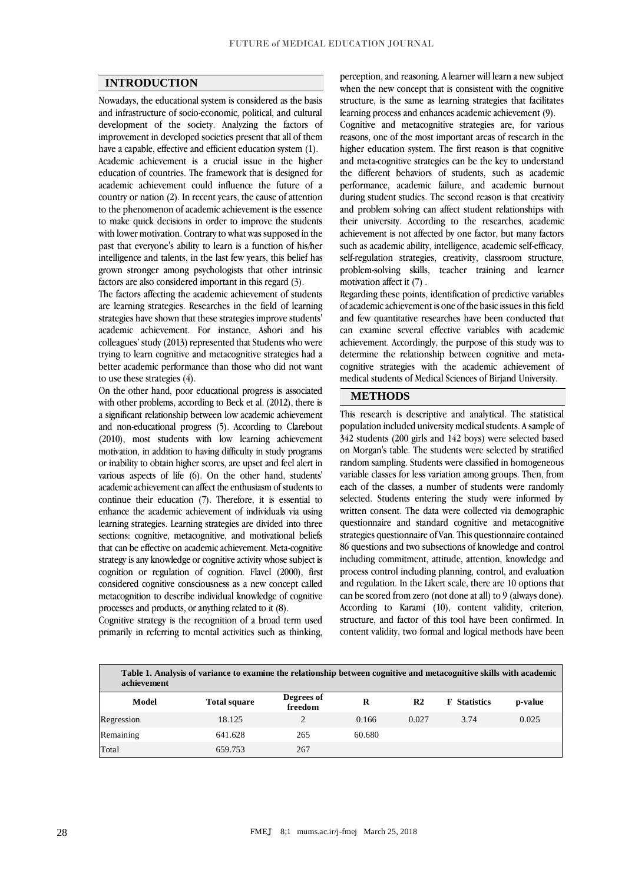#### **INTRODUCTION**

Nowadays, the educational system is considered as the basis and infrastructure of socio-economic, political, and cultural development of the society. Analyzing the factors of improvement in developed societies present that all of them have a capable, effective and efficient education system (1). Academic achievement is a crucial issue in the higher education of countries. The framework that is designed for academic achievement could influence the future of a country or nation (2). In recent years, the cause of attention to the phenomenon of academic achievement is the essence to make quick decisions in order to improve the students with lower motivation. Contrary to what was supposed in the past that everyone's ability to learn is a function of his/her intelligence and talents, in the last few years, this belief has grown stronger among psychologists that other intrinsic factors are also considered important in this regard (3).

The factors affecting the academic achievement of students are learning strategies. Researches in the field of learning strategies have shown that these strategies improve students' academic achievement. For instance, Ashori and his colleagues' study (2013) represented that Students who were trying to learn cognitive and metacognitive strategies had a better academic performance than those who did not want to use these strategies  $(4)$ .

On the other hand, poor educational progress is associated with other problems, according to Beck et al. (2012), there is a significant relationship between low academic achievement and non-educational progress (5). According to Clarebout (2010), most students with low learning achievement motivation, in addition to having difficulty in study programs or inability to obtain higher scores, are upset and feel alert in various aspects of life (6). On the other hand, students' academic achievement can affect the enthusiasm of students to continue their education (7). Therefore, it is essential to enhance the academic achievement of individuals via using learning strategies. Learning strategies are divided into three sections: cognitive, metacognitive, and motivational beliefs that can be effective on academic achievement. Meta-cognitive strategy is any knowledge or cognitive activity whose subject is cognition or regulation of cognition. Flavel (2000), first considered cognitive consciousness as a new concept called metacognition to describe individual knowledge of cognitive processes and products, or anything related to it (8).

Cognitive strategy is the recognition of a broad term used primarily in referring to mental activities such as thinking, perception, and reasoning. A learner will learn a new subject when the new concept that is consistent with the cognitive structure, is the same as learning strategies that facilitates learning process and enhances academic achievement (9).

Cognitive and metacognitive strategies are, for various reasons, one of the most important areas of research in the higher education system. The first reason is that cognitive and meta-cognitive strategies can be the key to understand the different behaviors of students, such as academic performance, academic failure, and academic burnout during student studies. The second reason is that creativity and problem solving can affect student relationships with their university. According to the researches, academic achievement is not affected by one factor, but many factors such as academic ability, intelligence, academic self-efficacy, self-regulation strategies, creativity, classroom structure, problem-solving skills, teacher training and learner motivation affect it (7) .

Regarding these points, identification of predictive variables of academic achievement is one of the basic issues in this field and few quantitative researches have been conducted that can examine several effective variables with academic achievement. Accordingly, the purpose of this study was to determine the relationship between cognitive and metacognitive strategies with the academic achievement of medical students of Medical Sciences of Birjand University.

#### **METHODS**

This research is descriptive and analytical. The statistical population included university medical students. A sample of 342 students (200 girls and 142 boys) were selected based on Morgan's table. The students were selected by stratified random sampling. Students were classified in homogeneous variable classes for less variation among groups. Then, from each of the classes, a number of students were randomly selected. Students entering the study were informed by written consent. The data were collected via demographic questionnaire and standard cognitive and metacognitive strategies questionnaire of Van. This questionnaire contained 86 questions and two subsections of knowledge and control including commitment, attitude, attention, knowledge and process control including planning, control, and evaluation and regulation. In the Likert scale, there are 10 options that can be scored from zero (not done at all) to 9 (always done). According to Karami (10), content validity, criterion, structure, and factor of this tool have been confirmed. In content validity, two formal and logical methods have been

| achievement | Table 1. Analysis of variance to examine the relationship between cognitive and metacognitive skills with academic |                       |        |                |                     |         |
|-------------|--------------------------------------------------------------------------------------------------------------------|-----------------------|--------|----------------|---------------------|---------|
| Model       | <b>Total square</b>                                                                                                | Degrees of<br>freedom | R      | R <sub>2</sub> | <b>F</b> Statistics | p-value |
| Regression  | 18.125                                                                                                             | 2                     | 0.166  | 0.027          | 3.74                | 0.025   |
| Remaining   | 641.628                                                                                                            | 265                   | 60.680 |                |                     |         |
| Total       | 659.753                                                                                                            | 267                   |        |                |                     |         |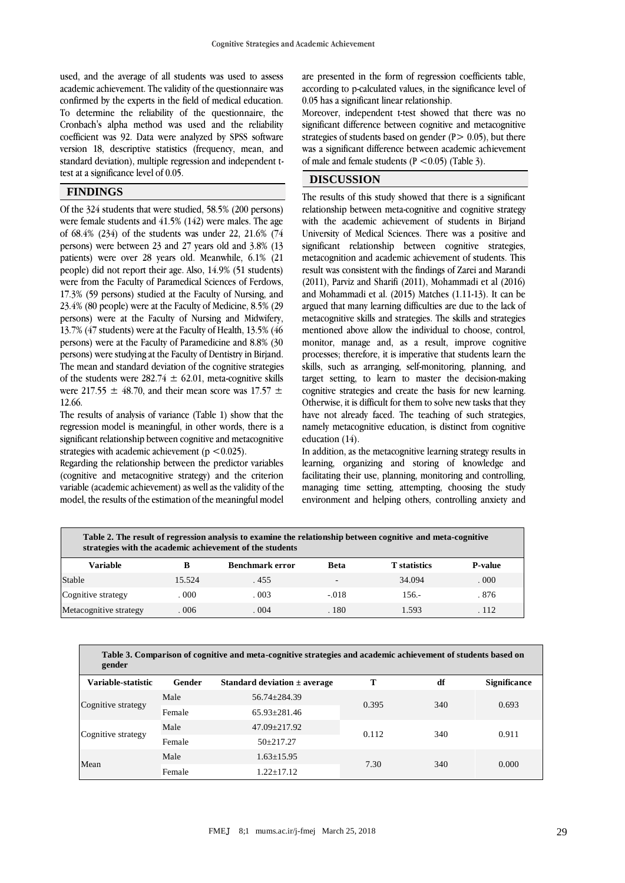used, and the average of all students was used to assess academic achievement. The validity of the questionnaire was confirmed by the experts in the field of medical education. To determine the reliability of the questionnaire, the Cronbach's alpha method was used and the reliability coefficient was 92. Data were analyzed by SPSS software version 18, descriptive statistics (frequency, mean, and standard deviation), multiple regression and independent ttest at a significance level of 0.05.

#### **FINDINGS**

Of the 324 students that were studied, 58.5% (200 persons) were female students and 41.5% (142) were males. The age of 68.4% (234) of the students was under 22, 21.6% (74 persons) were between 23 and 27 years old and 3.8% (13 patients) were over 28 years old. Meanwhile, 6.1% (21 people) did not report their age. Also, 14.9% (51 students) were from the Faculty of Paramedical Sciences of Ferdows, 17.3% (59 persons) studied at the Faculty of Nursing, and 23.4% (80 people) were at the Faculty of Medicine, 8.5% (29 persons) were at the Faculty of Nursing and Midwifery, 13.7% (47 students) were at the Faculty of Health, 13.5% (46 persons) were at the Faculty of Paramedicine and 8.8% (30 persons) were studying at the Faculty of Dentistry in Birjand. The mean and standard deviation of the cognitive strategies of the students were  $282.74 \pm 62.01$ , meta-cognitive skills were 217.55  $\pm$  48.70, and their mean score was 17.57  $\pm$ 12.66.

The results of analysis of variance (Table 1) show that the regression model is meaningful, in other words, there is a significant relationship between cognitive and metacognitive strategies with academic achievement ( $p < 0.025$ ).

Regarding the relationship between the predictor variables (cognitive and metacognitive strategy) and the criterion variable (academic achievement) as well as the validity of the model, the results of the estimation of the meaningful model are presented in the form of regression coefficients table, according to p-calculated values, in the significance level of 0.05 has a significant linear relationship.

Moreover, independent t-test showed that there was no significant difference between cognitive and metacognitive strategies of students based on gender  $(P> 0.05)$ , but there was a significant difference between academic achievement of male and female students  $(P \le 0.05)$  (Table 3).

# **DISCUSSION**

The results of this study showed that there is a significant relationship between meta-cognitive and cognitive strategy with the academic achievement of students in Birjand University of Medical Sciences. There was a positive and significant relationship between cognitive strategies, metacognition and academic achievement of students. This result was consistent with the findings of Zarei and Marandi (2011), Parviz and Sharifi (2011), Mohammadi et al (2016) and Mohammadi et al. (2015) Matches (1.11-13). It can be argued that many learning difficulties are due to the lack of metacognitive skills and strategies. The skills and strategies mentioned above allow the individual to choose, control, monitor, manage and, as a result, improve cognitive processes; therefore, it is imperative that students learn the skills, such as arranging, self-monitoring, planning, and target setting, to learn to master the decision-making cognitive strategies and create the basis for new learning. Otherwise, it is difficult for them to solve new tasks that they have not already faced. The teaching of such strategies, namely metacognitive education, is distinct from cognitive education (14).

In addition, as the metacognitive learning strategy results in learning, organizing and storing of knowledge and facilitating their use, planning, monitoring and controlling, managing time setting, attempting, choosing the study environment and helping others, controlling anxiety and

| Table 2. The result of regression analysis to examine the relationship between cognitive and meta-cognitive<br>strategies with the academic achievement of the students |        |                        |                          |                     |                |  |
|-------------------------------------------------------------------------------------------------------------------------------------------------------------------------|--------|------------------------|--------------------------|---------------------|----------------|--|
| <b>Variable</b>                                                                                                                                                         | в      | <b>Benchmark error</b> | <b>Beta</b>              | <b>T</b> statistics | <b>P-value</b> |  |
| Stable                                                                                                                                                                  | 15.524 | . 455                  | $\overline{\phantom{a}}$ | 34.094              | .000           |  |
| Cognitive strategy                                                                                                                                                      | .000.  | .003                   | $-.018$                  | $156. -$            | . 876          |  |
| Metacognitive strategy                                                                                                                                                  | 006    | .004                   | .180                     | 1.593               | . 112          |  |

| Table 3. Comparison of cognitive and meta-cognitive strategies and academic achievement of students based on<br>gender |        |                                  |       |     |                     |  |
|------------------------------------------------------------------------------------------------------------------------|--------|----------------------------------|-------|-----|---------------------|--|
| Variable-statistic                                                                                                     | Gender | Standard deviation $\pm$ average | т     | df  | <b>Significance</b> |  |
| Cognitive strategy                                                                                                     | Male   | 56.74+284.39                     | 0.395 | 340 | 0.693               |  |
|                                                                                                                        | Female | $65.93 + 281.46$                 |       |     |                     |  |
| Cognitive strategy                                                                                                     | Male   | $47.09 \pm 217.92$               | 0.112 | 340 | 0.911               |  |
|                                                                                                                        | Female | $50+217.27$                      |       |     |                     |  |
| Mean                                                                                                                   | Male   | $1.63 \pm 15.95$                 | 7.30  | 340 | 0.000               |  |
|                                                                                                                        | Female | 1.22+17.12                       |       |     |                     |  |